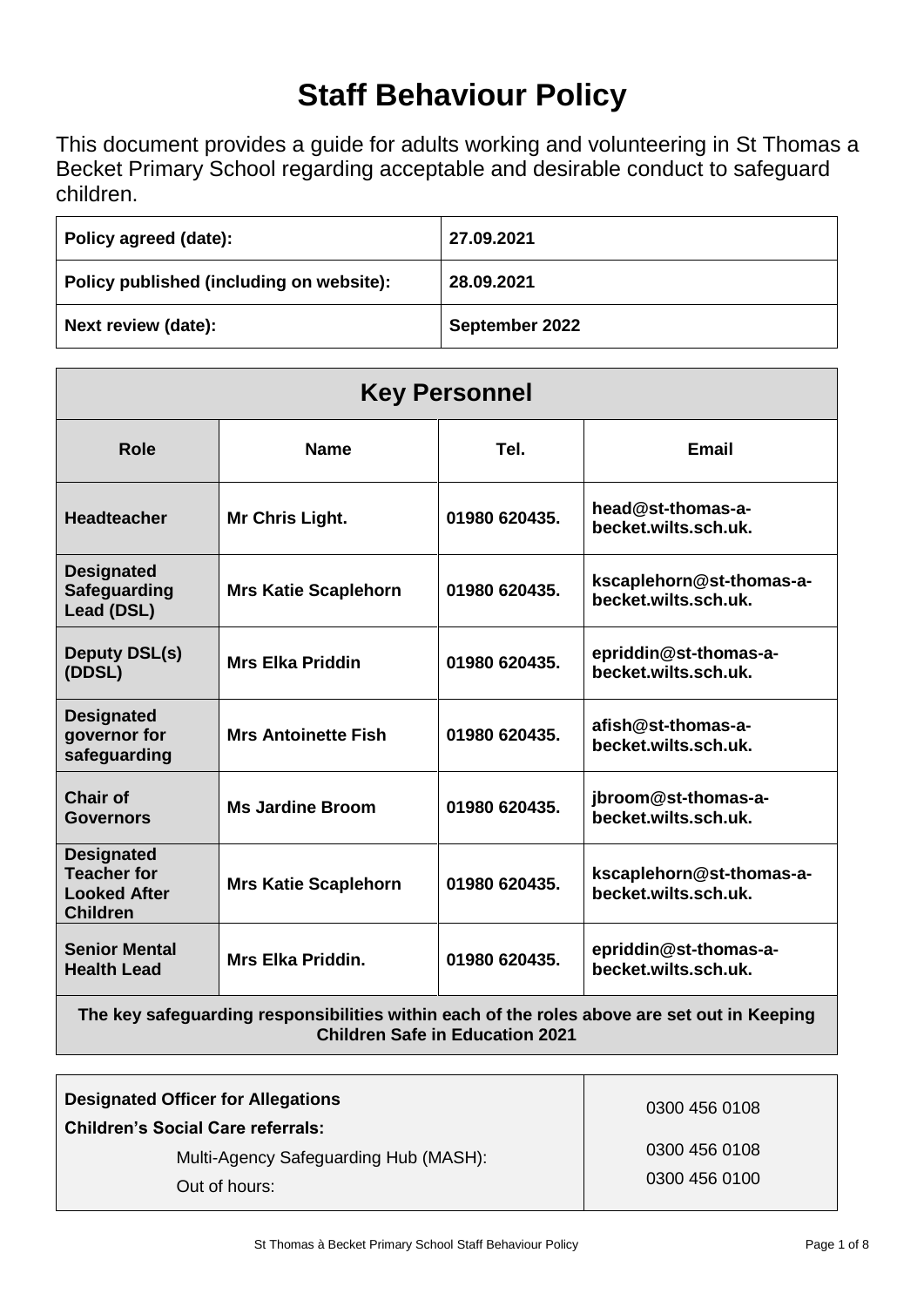# **Staff Behaviour Policy**

This document provides a guide for adults working and volunteering in St Thomas a Becket Primary School regarding acceptable and desirable conduct to safeguard children.

| Policy agreed (date):                    | 27.09.2021     |
|------------------------------------------|----------------|
| Policy published (including on website): | 28.09.2021     |
| Next review (date):                      | September 2022 |

| <b>Key Personnel</b>                                                              |                             |               |                                                  |  |
|-----------------------------------------------------------------------------------|-----------------------------|---------------|--------------------------------------------------|--|
| Role                                                                              | <b>Name</b>                 | Tel.          | <b>Email</b>                                     |  |
| <b>Headteacher</b>                                                                | Mr Chris Light.             | 01980 620435. | head@st-thomas-a-<br>becket.wilts.sch.uk.        |  |
| <b>Designated</b><br><b>Safeguarding</b><br>Lead (DSL)                            | <b>Mrs Katie Scaplehorn</b> | 01980 620435. | kscaplehorn@st-thomas-a-<br>becket.wilts.sch.uk. |  |
| <b>Deputy DSL(s)</b><br>(DDSL)                                                    | <b>Mrs Elka Priddin</b>     | 01980 620435. | epriddin@st-thomas-a-<br>becket.wilts.sch.uk.    |  |
| <b>Designated</b><br>governor for<br>safeguarding                                 | <b>Mrs Antoinette Fish</b>  | 01980 620435. | afish@st-thomas-a-<br>becket.wilts.sch.uk.       |  |
| <b>Chair of</b><br><b>Governors</b>                                               | <b>Ms Jardine Broom</b>     | 01980 620435. | jbroom@st-thomas-a-<br>becket.wilts.sch.uk.      |  |
| <b>Designated</b><br><b>Teacher for</b><br><b>Looked After</b><br><b>Children</b> | <b>Mrs Katie Scaplehorn</b> | 01980 620435. | kscaplehorn@st-thomas-a-<br>becket.wilts.sch.uk. |  |
| <b>Senior Mental</b><br><b>Health Lead</b>                                        | <b>Mrs Elka Priddin.</b>    | 01980 620435. | epriddin@st-thomas-a-<br>becket.wilts.sch.uk.    |  |

**The key safeguarding responsibilities within each of the roles above are set out in Keeping Children Safe in Education 2021**

| <b>Designated Officer for Allegations</b>                                                          | 0300 456 0108                  |
|----------------------------------------------------------------------------------------------------|--------------------------------|
| <b>Children's Social Care referrals:</b><br>Multi-Agency Safeguarding Hub (MASH):<br>Out of hours: | 0300 456 0108<br>0300 456 0100 |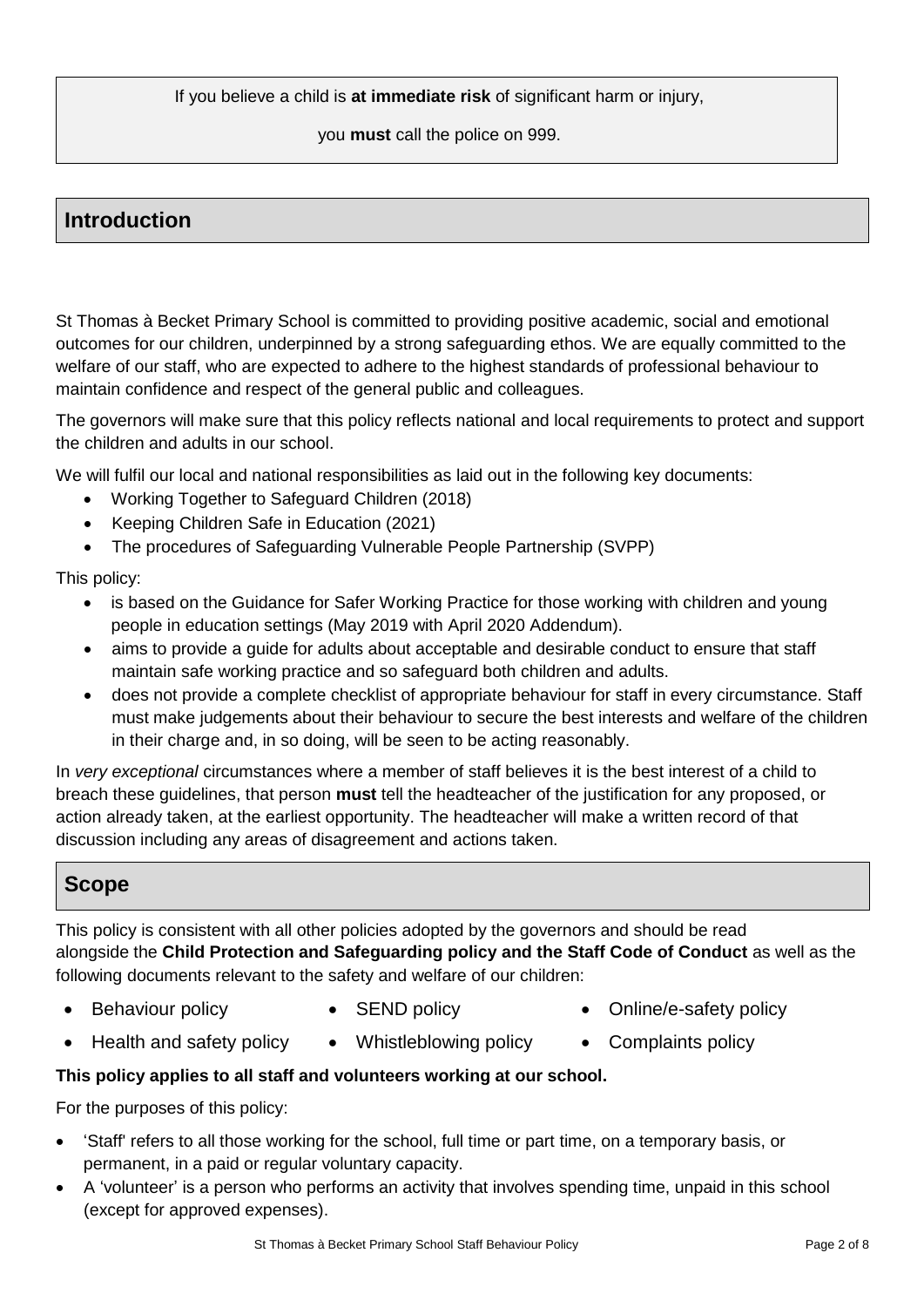If you believe a child is **at immediate risk** of significant harm or injury,

you **must** call the police on 999.

# **Introduction**

St Thomas à Becket Primary School is committed to providing positive academic, social and emotional outcomes for our children, underpinned by a strong safeguarding ethos. We are equally committed to the welfare of our staff, who are expected to adhere to the highest standards of professional behaviour to maintain confidence and respect of the general public and colleagues.

The governors will make sure that this policy reflects national and local requirements to protect and support the children and adults in our school.

We will fulfil our local and national responsibilities as laid out in the following key documents:

- Working Together to Safeguard Children (2018)
- Keeping Children Safe in Education (2021)
- The procedures of Safeguarding Vulnerable People Partnership (SVPP)

This policy:

- is based on the Guidance for Safer Working Practice for those working with children and young people in education settings (May 2019 with April 2020 Addendum).
- aims to provide a guide for adults about acceptable and desirable conduct to ensure that staff maintain safe working practice and so safeguard both children and adults.
- does not provide a complete checklist of appropriate behaviour for staff in every circumstance. Staff must make judgements about their behaviour to secure the best interests and welfare of the children in their charge and, in so doing, will be seen to be acting reasonably.

In *very exceptional* circumstances where a member of staff believes it is the best interest of a child to breach these guidelines, that person **must** tell the headteacher of the justification for any proposed, or action already taken, at the earliest opportunity. The headteacher will make a written record of that discussion including any areas of disagreement and actions taken.

# **Scope**

This policy is consistent with all other policies adopted by the governors and should be read alongside the **Child Protection and Safeguarding policy and the Staff Code of Conduct** as well as the following documents relevant to the safety and welfare of our children:

- 
- 
- Behaviour policy **CEND CEND** policy **CEND CEND CEND CEND**
- Health and safety policy Whistleblowing policy Complaints policy
- 
- 

## **This policy applies to all staff and volunteers working at our school.**

For the purposes of this policy:

- 'Staff' refers to all those working for the school, full time or part time, on a temporary basis, or permanent, in a paid or regular voluntary capacity.
- A 'volunteer' is a person who performs an activity that involves spending time, unpaid in this school (except for approved expenses).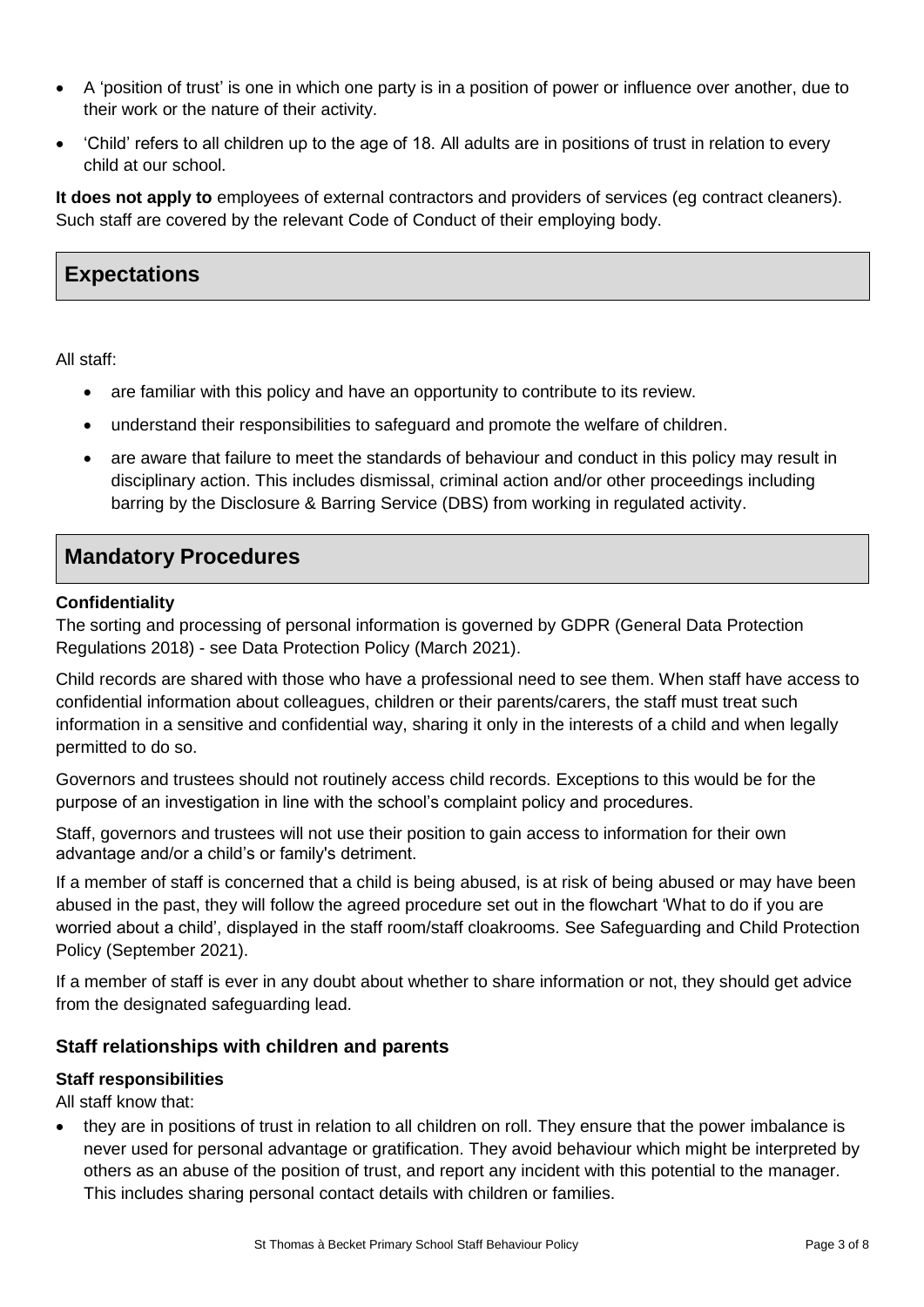- A 'position of trust' is one in which one party is in a position of power or influence over another, due to their work or the nature of their activity.
- 'Child' refers to all children up to the age of 18. All adults are in positions of trust in relation to every child at our school.

**It does not apply to** employees of external contractors and providers of services (eg contract cleaners). Such staff are covered by the relevant Code of Conduct of their employing body.

# **Expectations**

All staff:

- are familiar with this policy and have an opportunity to contribute to its review.
- understand their responsibilities to safeguard and promote the welfare of children.
- are aware that failure to meet the standards of behaviour and conduct in this policy may result in disciplinary action. This includes dismissal, criminal action and/or other proceedings including barring by the Disclosure & Barring Service (DBS) from working in regulated activity.

# **Mandatory Procedures**

#### **Confidentiality**

The sorting and processing of personal information is governed by GDPR (General Data Protection Regulations 2018) - see Data Protection Policy (March 2021).

Child records are shared with those who have a professional need to see them. When staff have access to confidential information about colleagues, children or their parents/carers, the staff must treat such information in a sensitive and confidential way, sharing it only in the interests of a child and when legally permitted to do so.

Governors and trustees should not routinely access child records. Exceptions to this would be for the purpose of an investigation in line with the school's complaint policy and procedures.

Staff, governors and trustees will not use their position to gain access to information for their own advantage and/or a child's or family's detriment.

If a member of staff is concerned that a child is being abused, is at risk of being abused or may have been abused in the past, they will follow the agreed procedure set out in the flowchart 'What to do if you are worried about a child', displayed in the staff room/staff cloakrooms. See Safeguarding and Child Protection Policy (September 2021).

If a member of staff is ever in any doubt about whether to share information or not, they should get advice from the designated safeguarding lead.

## **Staff relationships with children and parents**

#### **Staff responsibilities**

All staff know that:

 they are in positions of trust in relation to all children on roll. They ensure that the power imbalance is never used for personal advantage or gratification. They avoid behaviour which might be interpreted by others as an abuse of the position of trust, and report any incident with this potential to the manager. This includes sharing personal contact details with children or families.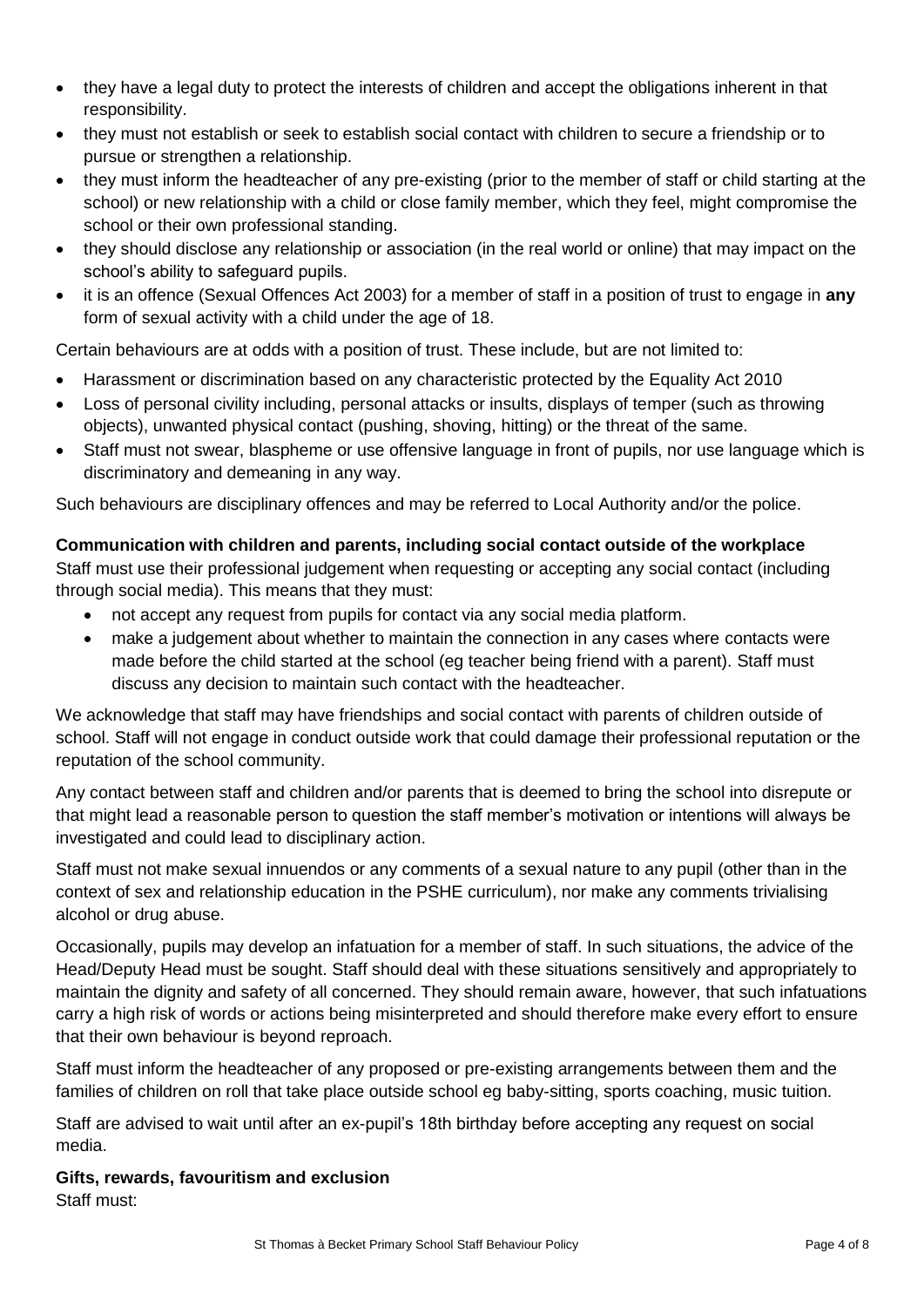- they have a legal duty to protect the interests of children and accept the obligations inherent in that responsibility.
- they must not establish or seek to establish social contact with children to secure a friendship or to pursue or strengthen a relationship.
- they must inform the headteacher of any pre-existing (prior to the member of staff or child starting at the school) or new relationship with a child or close family member, which they feel, might compromise the school or their own professional standing.
- they should disclose any relationship or association (in the real world or online) that may impact on the school's ability to safeguard pupils.
- it is an offence (Sexual Offences Act 2003) for a member of staff in a position of trust to engage in **any** form of sexual activity with a child under the age of 18.

Certain behaviours are at odds with a position of trust. These include, but are not limited to:

- Harassment or discrimination based on any characteristic protected by the Equality Act 2010
- Loss of personal civility including, personal attacks or insults, displays of temper (such as throwing objects), unwanted physical contact (pushing, shoving, hitting) or the threat of the same.
- Staff must not swear, blaspheme or use offensive language in front of pupils, nor use language which is discriminatory and demeaning in any way.

Such behaviours are disciplinary offences and may be referred to Local Authority and/or the police.

#### **Communication with children and parents, including social contact outside of the workplace**

Staff must use their professional judgement when requesting or accepting any social contact (including through social media). This means that they must:

- not accept any request from pupils for contact via any social media platform.
- make a judgement about whether to maintain the connection in any cases where contacts were made before the child started at the school (eg teacher being friend with a parent). Staff must discuss any decision to maintain such contact with the headteacher.

We acknowledge that staff may have friendships and social contact with parents of children outside of school. Staff will not engage in conduct outside work that could damage their professional reputation or the reputation of the school community.

Any contact between staff and children and/or parents that is deemed to bring the school into disrepute or that might lead a reasonable person to question the staff member's motivation or intentions will always be investigated and could lead to disciplinary action.

Staff must not make sexual innuendos or any comments of a sexual nature to any pupil (other than in the context of sex and relationship education in the PSHE curriculum), nor make any comments trivialising alcohol or drug abuse.

Occasionally, pupils may develop an infatuation for a member of staff. In such situations, the advice of the Head/Deputy Head must be sought. Staff should deal with these situations sensitively and appropriately to maintain the dignity and safety of all concerned. They should remain aware, however, that such infatuations carry a high risk of words or actions being misinterpreted and should therefore make every effort to ensure that their own behaviour is beyond reproach.

Staff must inform the headteacher of any proposed or pre-existing arrangements between them and the families of children on roll that take place outside school eg baby-sitting, sports coaching, music tuition.

Staff are advised to wait until after an ex-pupil's 18th birthday before accepting any request on social media.

**Gifts, rewards, favouritism and exclusion**  Staff must: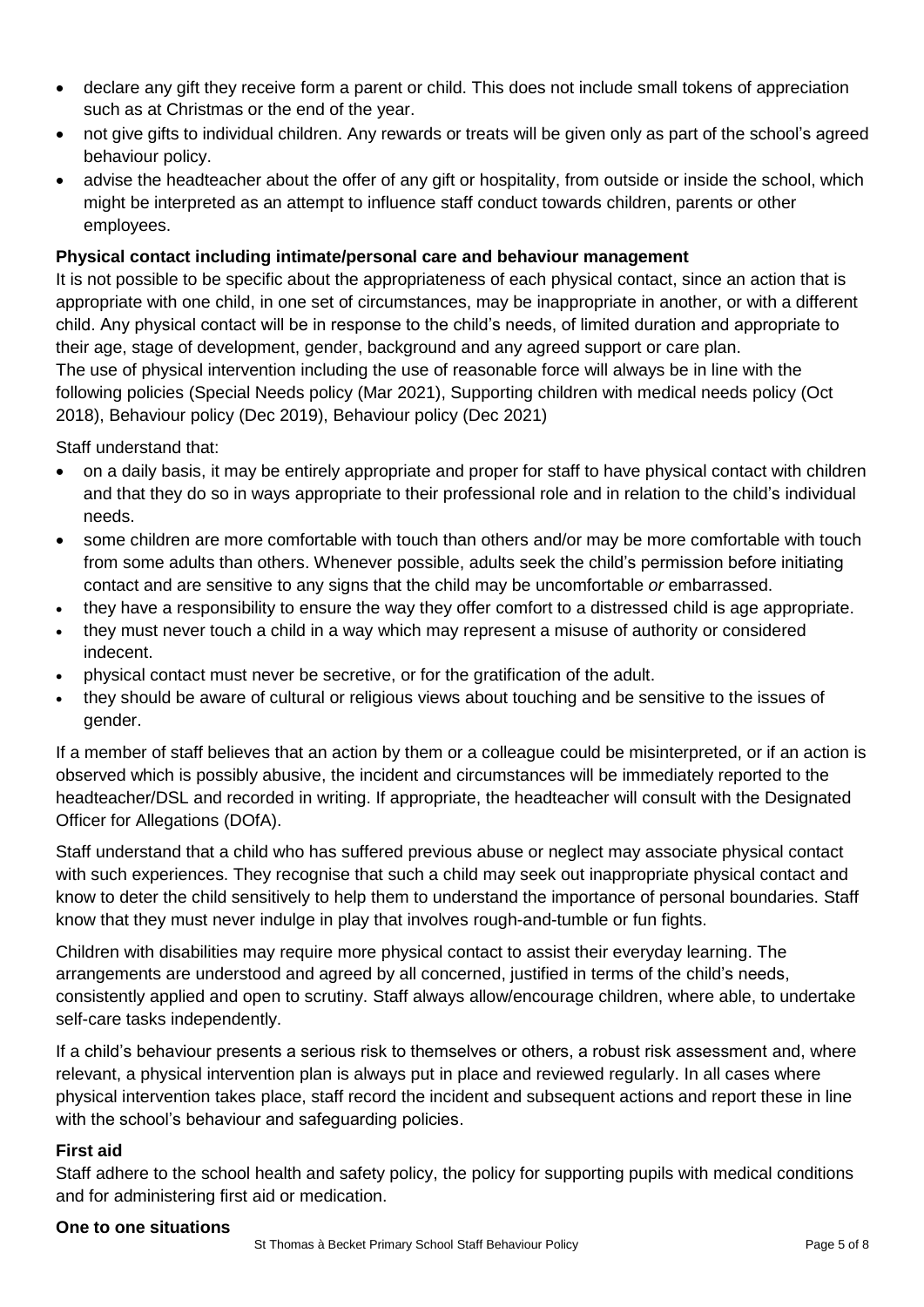- declare any gift they receive form a parent or child. This does not include small tokens of appreciation such as at Christmas or the end of the year.
- not give gifts to individual children. Any rewards or treats will be given only as part of the school's agreed behaviour policy.
- advise the headteacher about the offer of any gift or hospitality, from outside or inside the school, which might be interpreted as an attempt to influence staff conduct towards children, parents or other employees.

#### **Physical contact including intimate/personal care and behaviour management**

It is not possible to be specific about the appropriateness of each physical contact, since an action that is appropriate with one child, in one set of circumstances, may be inappropriate in another, or with a different child. Any physical contact will be in response to the child's needs, of limited duration and appropriate to their age, stage of development, gender, background and any agreed support or care plan. The use of physical intervention including the use of reasonable force will always be in line with the following policies (Special Needs policy (Mar 2021), Supporting children with medical needs policy (Oct 2018), Behaviour policy (Dec 2019), Behaviour policy (Dec 2021)

Staff understand that:

- on a daily basis, it may be entirely appropriate and proper for staff to have physical contact with children and that they do so in ways appropriate to their professional role and in relation to the child's individual needs.
- some children are more comfortable with touch than others and/or may be more comfortable with touch from some adults than others. Whenever possible, adults seek the child's permission before initiating contact and are sensitive to any signs that the child may be uncomfortable *or* embarrassed.
- they have a responsibility to ensure the way they offer comfort to a distressed child is age appropriate.
- they must never touch a child in a way which may represent a misuse of authority or considered indecent.
- physical contact must never be secretive, or for the gratification of the adult.
- they should be aware of cultural or religious views about touching and be sensitive to the issues of gender.

If a member of staff believes that an action by them or a colleague could be misinterpreted, or if an action is observed which is possibly abusive, the incident and circumstances will be immediately reported to the headteacher/DSL and recorded in writing. If appropriate, the headteacher will consult with the Designated Officer for Allegations (DOfA).

Staff understand that a child who has suffered previous abuse or neglect may associate physical contact with such experiences. They recognise that such a child may seek out inappropriate physical contact and know to deter the child sensitively to help them to understand the importance of personal boundaries. Staff know that they must never indulge in play that involves rough-and-tumble or fun fights.

Children with disabilities may require more physical contact to assist their everyday learning. The arrangements are understood and agreed by all concerned, justified in terms of the child's needs, consistently applied and open to scrutiny. Staff always allow/encourage children, where able, to undertake self-care tasks independently.

If a child's behaviour presents a serious risk to themselves or others, a robust risk assessment and, where relevant, a physical intervention plan is always put in place and reviewed regularly. In all cases where physical intervention takes place, staff record the incident and subsequent actions and report these in line with the school's behaviour and safeguarding policies.

#### **First aid**

Staff adhere to the school health and safety policy, the policy for supporting pupils with medical conditions and for administering first aid or medication.

#### **One to one situations**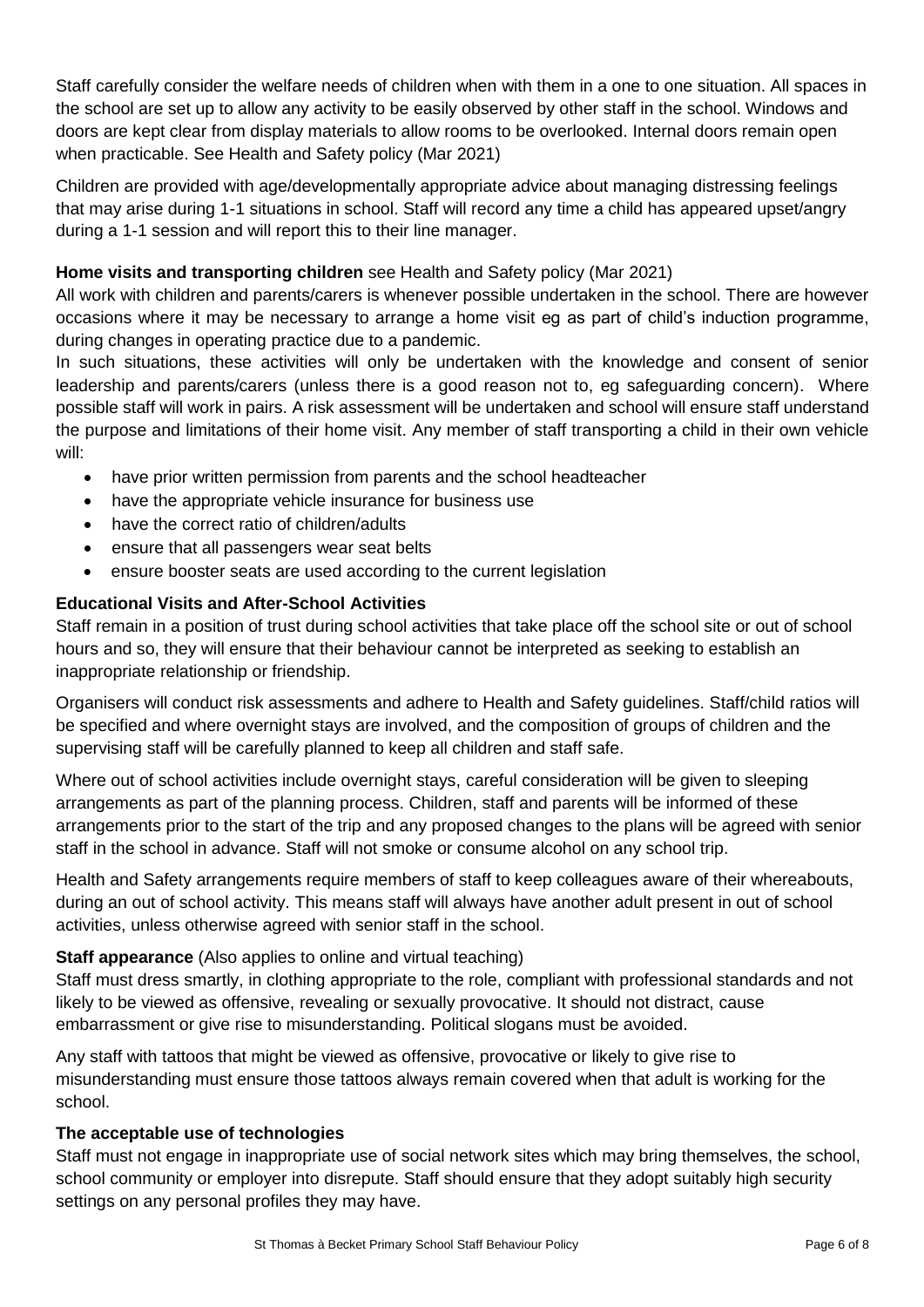Staff carefully consider the welfare needs of children when with them in a one to one situation. All spaces in the school are set up to allow any activity to be easily observed by other staff in the school. Windows and doors are kept clear from display materials to allow rooms to be overlooked. Internal doors remain open when practicable. See Health and Safety policy (Mar 2021)

Children are provided with age/developmentally appropriate advice about managing distressing feelings that may arise during 1-1 situations in school. Staff will record any time a child has appeared upset/angry during a 1-1 session and will report this to their line manager.

#### **Home visits and transporting children** see Health and Safety policy (Mar 2021)

All work with children and parents/carers is whenever possible undertaken in the school. There are however occasions where it may be necessary to arrange a home visit eg as part of child's induction programme, during changes in operating practice due to a pandemic.

In such situations, these activities will only be undertaken with the knowledge and consent of senior leadership and parents/carers (unless there is a good reason not to, eg safeguarding concern). Where possible staff will work in pairs. A risk assessment will be undertaken and school will ensure staff understand the purpose and limitations of their home visit. Any member of staff transporting a child in their own vehicle will:

- have prior written permission from parents and the school headteacher
- have the appropriate vehicle insurance for business use
- have the correct ratio of children/adults
- ensure that all passengers wear seat belts
- ensure booster seats are used according to the current legislation

## **Educational Visits and After-School Activities**

Staff remain in a position of trust during school activities that take place off the school site or out of school hours and so, they will ensure that their behaviour cannot be interpreted as seeking to establish an inappropriate relationship or friendship.

Organisers will conduct risk assessments and adhere to Health and Safety guidelines. Staff/child ratios will be specified and where overnight stays are involved, and the composition of groups of children and the supervising staff will be carefully planned to keep all children and staff safe.

Where out of school activities include overnight stays, careful consideration will be given to sleeping arrangements as part of the planning process. Children, staff and parents will be informed of these arrangements prior to the start of the trip and any proposed changes to the plans will be agreed with senior staff in the school in advance. Staff will not smoke or consume alcohol on any school trip.

Health and Safety arrangements require members of staff to keep colleagues aware of their whereabouts, during an out of school activity. This means staff will always have another adult present in out of school activities, unless otherwise agreed with senior staff in the school.

## **Staff appearance** (Also applies to online and virtual teaching)

Staff must dress smartly, in clothing appropriate to the role, compliant with professional standards and not likely to be viewed as offensive, revealing or sexually provocative. It should not distract, cause embarrassment or give rise to misunderstanding. Political slogans must be avoided.

Any staff with tattoos that might be viewed as offensive, provocative or likely to give rise to misunderstanding must ensure those tattoos always remain covered when that adult is working for the school.

## **The acceptable use of technologies**

Staff must not engage in inappropriate use of social network sites which may bring themselves, the school, school community or employer into disrepute. Staff should ensure that they adopt suitably high security settings on any personal profiles they may have.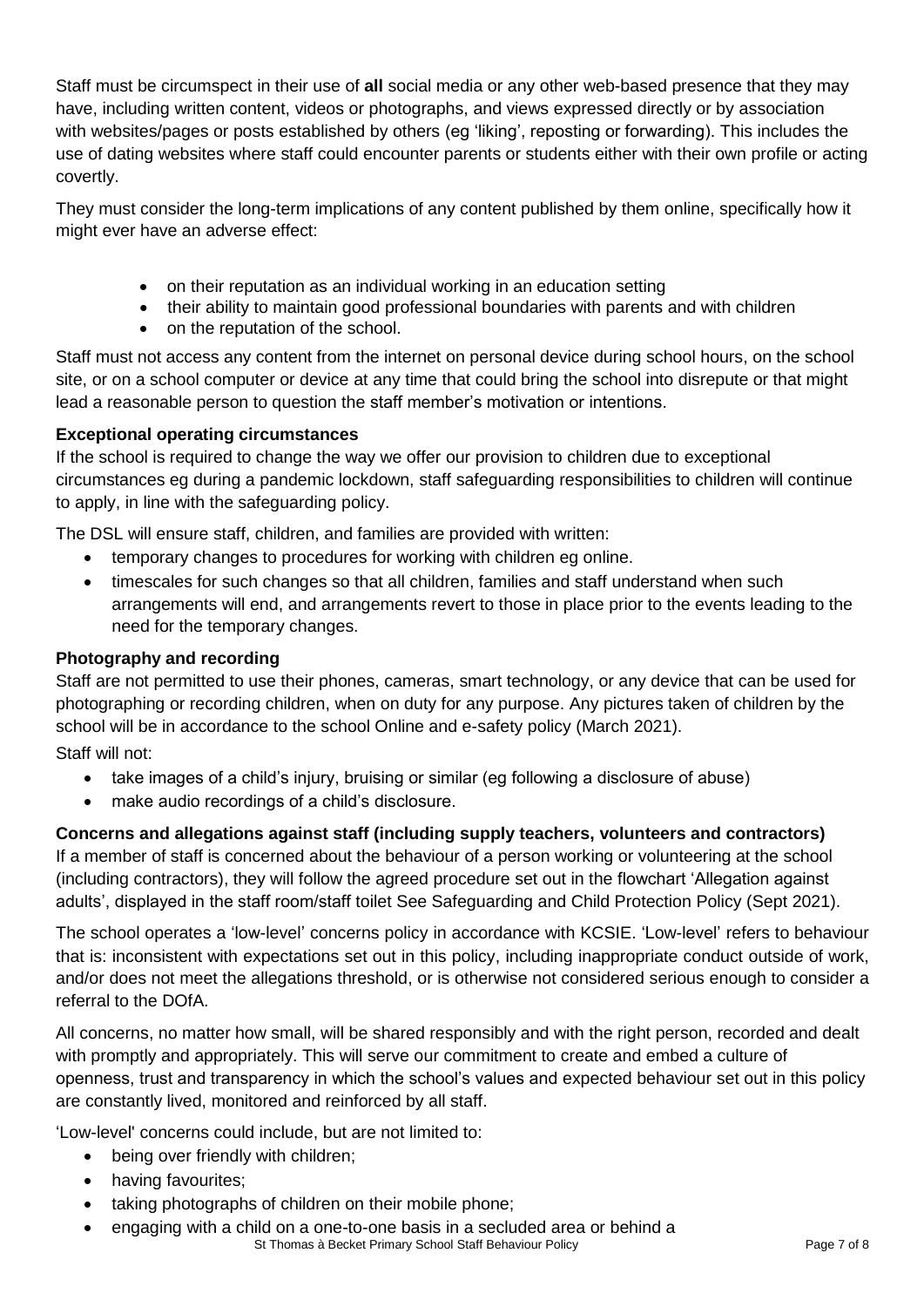Staff must be circumspect in their use of **all** social media or any other web-based presence that they may have, including written content, videos or photographs, and views expressed directly or by association with websites/pages or posts established by others (eg 'liking', reposting or forwarding). This includes the use of dating websites where staff could encounter parents or students either with their own profile or acting covertly.

They must consider the long-term implications of any content published by them online, specifically how it might ever have an adverse effect:

- on their reputation as an individual working in an education setting
- their ability to maintain good professional boundaries with parents and with children
- on the reputation of the school.

Staff must not access any content from the internet on personal device during school hours, on the school site, or on a school computer or device at any time that could bring the school into disrepute or that might lead a reasonable person to question the staff member's motivation or intentions.

## **Exceptional operating circumstances**

If the school is required to change the way we offer our provision to children due to exceptional circumstances eg during a pandemic lockdown, staff safeguarding responsibilities to children will continue to apply, in line with the safeguarding policy.

The DSL will ensure staff, children, and families are provided with written:

- temporary changes to procedures for working with children eg online.
- timescales for such changes so that all children, families and staff understand when such arrangements will end, and arrangements revert to those in place prior to the events leading to the need for the temporary changes.

## **Photography and recording**

Staff are not permitted to use their phones, cameras, smart technology, or any device that can be used for photographing or recording children, when on duty for any purpose. Any pictures taken of children by the school will be in accordance to the school Online and e-safety policy (March 2021).

Staff will not:

- take images of a child's injury, bruising or similar (eg following a disclosure of abuse)
- make audio recordings of a child's disclosure.

## **Concerns and allegations against staff (including supply teachers, volunteers and contractors)**

If a member of staff is concerned about the behaviour of a person working or volunteering at the school (including contractors), they will follow the agreed procedure set out in the flowchart 'Allegation against adults', displayed in the staff room/staff toilet See Safeguarding and Child Protection Policy (Sept 2021).

The school operates a 'low-level' concerns policy in accordance with KCSIE. 'Low-level' refers to behaviour that is: inconsistent with expectations set out in this policy, including inappropriate conduct outside of work, and/or does not meet the allegations threshold, or is otherwise not considered serious enough to consider a referral to the DOfA.

All concerns, no matter how small, will be shared responsibly and with the right person, recorded and dealt with promptly and appropriately. This will serve our commitment to create and embed a culture of openness, trust and transparency in which the school's values and expected behaviour set out in this policy are constantly lived, monitored and reinforced by all staff.

'Low-level' concerns could include, but are not limited to:

- being over friendly with children;
- having favourites;
- taking photographs of children on their mobile phone;
- St Thomas à Becket Primary School Staff Behaviour Policy **Page 7 of 8** Page 7 of 8 engaging with a child on a one-to-one basis in a secluded area or behind a